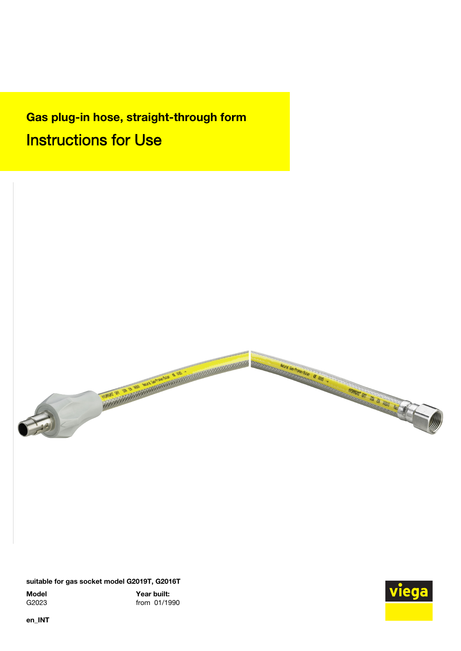Gas plug-in hose, straight-through form Instructions for Use



suitable for gas socket model G2019T, G2016T

Model Year built:<br>G2023 from 01/19 from 01/1990



en\_INT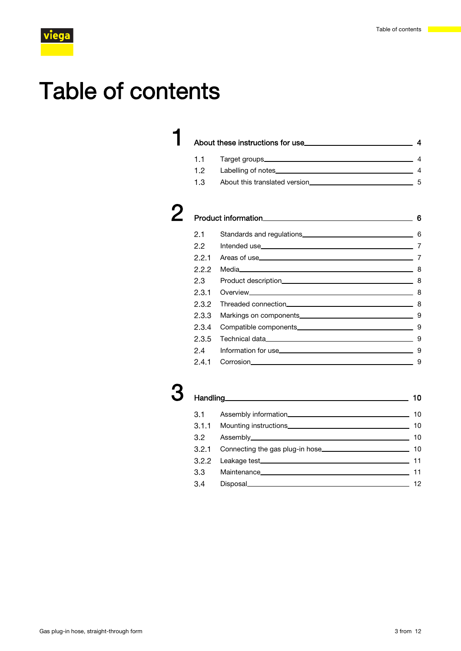# Table of contents

# **1** [About these instructions for use](#page-3-0) 44 About these instructions for use 44 1.1 [Target groups](#page-3-0) 4 1.2 [Labelling of notes](#page-3-0) 4

1.3 [About this translated version](#page-4-0)<br>
5

| 21  |         |   |
|-----|---------|---|
| 22  |         |   |
|     |         |   |
| ククク | Media 8 |   |
| 2.3 |         | 8 |
| 231 |         |   |
|     |         |   |

|                 | -8  |
|-----------------|-----|
|                 | . 9 |
|                 | - 9 |
|                 | -9  |
|                 | - 9 |
| 2.4.1 Corrosion | 9   |

# Handling 10 3.1 [Assembly information](#page-9-0) 10 3.1.1 [Mounting instructions](#page-9-0) 10 3.2 [Assembly](#page-9-0) 10 3.2.1 [Connecting the gas plug-in hose](#page-9-0) 10 3.2.2 [Leakage test](#page-10-0) 11 3.3 [Maintenance](#page-10-0) 11 Maintenance 11 3.4 [Disposal](#page-11-0)<br>
12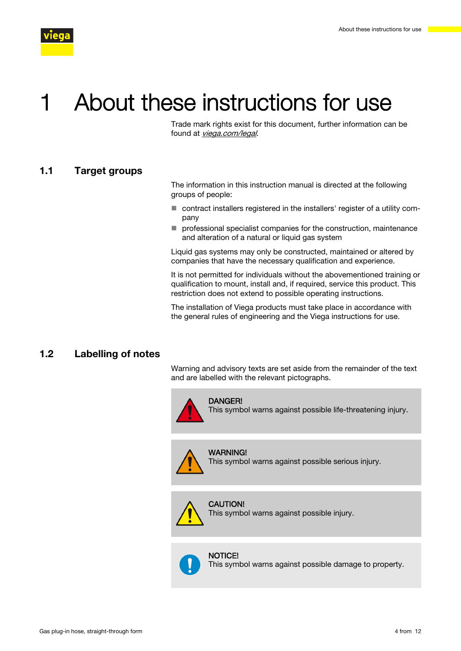<span id="page-3-0"></span>

# About these instructions for use

Trade mark rights exist for this document, further information can be found at [viega.com/legal](https://www.viega.com/en/meta/footer/legal.html).

### 1.1 Target groups

The information in this instruction manual is directed at the following groups of people:

- contract installers registered in the installers' register of a utility company
- $\blacksquare$  professional specialist companies for the construction, maintenance and alteration of a natural or liquid gas system

Liquid gas systems may only be constructed, maintained or altered by companies that have the necessary qualification and experience.

It is not permitted for individuals without the abovementioned training or qualification to mount, install and, if required, service this product. This restriction does not extend to possible operating instructions.

The installation of Viega products must take place in accordance with the general rules of engineering and the Viega instructions for use.

# 1.2 Labelling of notes

Warning and advisory texts are set aside from the remainder of the text and are labelled with the relevant pictographs.



#### DANGER!

This symbol warns against possible life-threatening injury.



WARNING! This symbol warns against possible serious injury.

# CAUTION!

This symbol warns against possible injury.



This symbol warns against possible damage to property.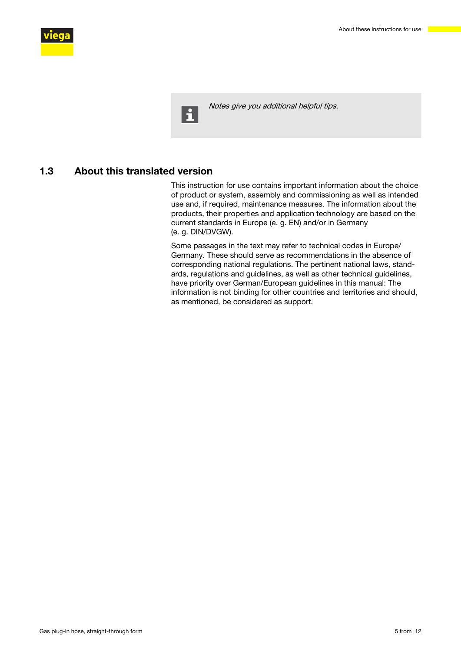<span id="page-4-0"></span>

 $\mathbf{H}$ 

Notes give you additional helpful tips.

# 1.3 About this translated version

This instruction for use contains important information about the choice of product or system, assembly and commissioning as well as intended use and, if required, maintenance measures. The information about the products, their properties and application technology are based on the current standards in Europe (e. g. EN) and/or in Germany (e. g. DIN/DVGW).

Some passages in the text may refer to technical codes in Europe/ Germany. These should serve as recommendations in the absence of corresponding national regulations. The pertinent national laws, standards, regulations and guidelines, as well as other technical guidelines, have priority over German/European guidelines in this manual: The information is not binding for other countries and territories and should, as mentioned, be considered as support.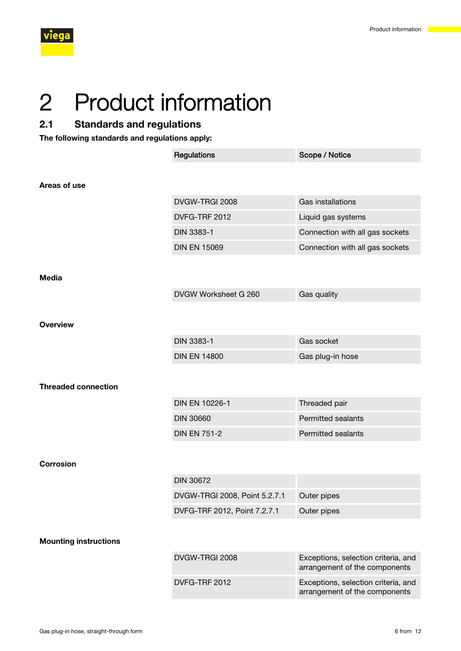<span id="page-5-0"></span>

# 2 Product information

# 2.1 Standards and regulations

The following standards and regulations apply:

|                              | Regulations                   | Scope / Notice                                                       |
|------------------------------|-------------------------------|----------------------------------------------------------------------|
|                              |                               |                                                                      |
| Areas of use                 |                               |                                                                      |
|                              | DVGW-TRGI 2008                | Gas installations                                                    |
|                              | DVFG-TRF 2012                 | Liquid gas systems                                                   |
|                              | DIN 3383-1                    | Connection with all gas sockets                                      |
|                              | <b>DIN EN 15069</b>           | Connection with all gas sockets                                      |
|                              |                               |                                                                      |
| <b>Media</b>                 |                               |                                                                      |
|                              | DVGW Worksheet G 260          | Gas quality                                                          |
|                              |                               |                                                                      |
| <b>Overview</b>              |                               |                                                                      |
|                              | <b>DIN 3383-1</b>             | Gas socket                                                           |
|                              | <b>DIN EN 14800</b>           | Gas plug-in hose                                                     |
|                              |                               |                                                                      |
| <b>Threaded connection</b>   |                               |                                                                      |
|                              | DIN EN 10226-1                | Threaded pair                                                        |
|                              | <b>DIN 30660</b>              | <b>Permitted sealants</b>                                            |
|                              | <b>DIN EN 751-2</b>           | <b>Permitted sealants</b>                                            |
|                              |                               |                                                                      |
| <b>Corrosion</b>             |                               |                                                                      |
|                              | <b>DIN 30672</b>              |                                                                      |
|                              | DVGW-TRGI 2008, Point 5.2.7.1 | Outer pipes                                                          |
|                              | DVFG-TRF 2012, Point 7.2.7.1  | Outer pipes                                                          |
|                              |                               |                                                                      |
| <b>Mounting instructions</b> |                               |                                                                      |
|                              | DVGW-TRGI 2008                | Exceptions, selection criteria, and<br>arrangement of the components |
|                              | DVFG-TRF 2012                 | Exceptions, selection criteria, and<br>arrangement of the components |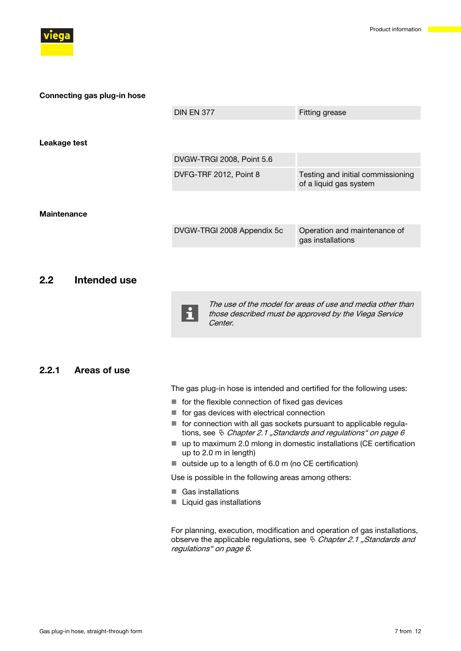<span id="page-6-0"></span>

|                    | <b>DIN EN 377</b>          | <b>Fitting grease</b>                                       |
|--------------------|----------------------------|-------------------------------------------------------------|
|                    |                            |                                                             |
| Leakage test       |                            |                                                             |
|                    | DVGW-TRGI 2008, Point 5.6  |                                                             |
|                    | DVFG-TRF 2012, Point 8     | Testing and initial commissioning<br>of a liquid gas system |
|                    |                            |                                                             |
| <b>Maintenance</b> |                            |                                                             |
|                    | DVGW-TRGI 2008 Appendix 5c | Operation and maintenance of<br>gas installations           |
|                    |                            |                                                             |

# 2.2 Intended use

Connecting gas plug-in hose



The use of the model for areas of use and media other than those described must be approved by the Viega Service Center.

### 2.2.1 Areas of use

The gas plug-in hose is intended and certified for the following uses:

- $\blacksquare$  for the flexible connection of fixed gas devices
- $\blacksquare$  for gas devices with electrical connection
- $\blacksquare$  for connection with all gas sockets pursuant to applicable regulations, see  $\frac{1}{2}$  [Chapter 2.1 "Standards and regulations" on page 6](#page-5-0)
- $\blacksquare$  up to maximum 2.0 mlong in domestic installations (CE certification up to 2.0 m in length)
- $\blacksquare$  outside up to a length of 6.0 m (no CE certification)

Use is possible in the following areas among others:

- Gas installations
- Liquid gas installations

For planning, execution, modification and operation of gas installations, observe the applicable regulations, see  $\frac{R}{V}$  [Chapter 2.1 "Standards and](#page-5-0) [regulations" on page 6](#page-5-0).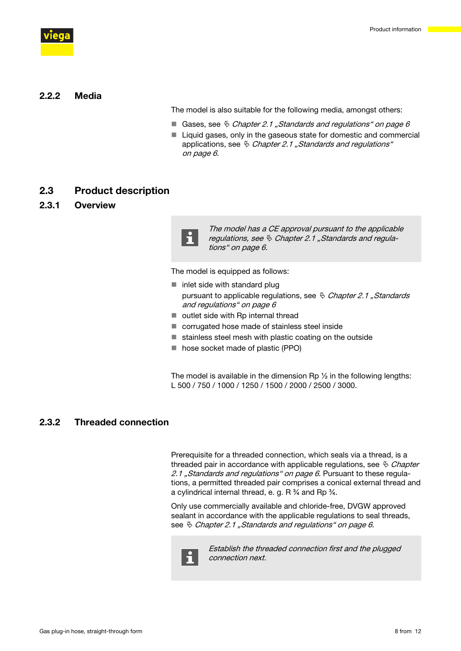<span id="page-7-0"></span>

# 2.2.2 Media

The model is also suitable for the following media, amongst others:

- Gases, see  $\frac{R}{V}$  [Chapter 2.1 "Standards and regulations" on page 6](#page-5-0)
- $\blacksquare$  Liquid gases, only in the gaseous state for domestic and commercial applications, see  $\frac{1}{2}$  [Chapter 2.1 "Standards and regulations"](#page-5-0) [on page 6](#page-5-0).

# 2.3 Product description

### 2.3.1 Overview



The model has a CE approval pursuant to the applicable regulations, see  $\&$  [Chapter 2.1 "Standards and regula](#page-5-0)[tions" on page 6](#page-5-0).

The model is equipped as follows:

- $\blacksquare$  inlet side with standard plug pursuant to applicable regulations, see  $\frac{R}{V}$  Chapter 2.1, Standards [and regulations" on page 6](#page-5-0)
- $\blacksquare$  outlet side with Rp internal thread
- $\blacksquare$  corrugated hose made of stainless steel inside
- $\blacksquare$  stainless steel mesh with plastic coating on the outside
- hose socket made of plastic (PPO)

The model is available in the dimension Rp  $\frac{1}{2}$  in the following lengths: L 500 / 750 / 1000 / 1250 / 1500 / 2000 / 2500 / 3000.

# 2.3.2 Threaded connection

Prerequisite for a threaded connection, which seals via a thread, is a threaded pair in accordance with applicable regulations, see  $\frac{R}{V}$  [Chapter](#page-5-0) [2.1 "Standards and regulations" on page 6](#page-5-0). Pursuant to these regulations, a permitted threaded pair comprises a conical external thread and a cylindrical internal thread, e. g. R  $\frac{3}{4}$  and Rp  $\frac{3}{4}$ .

Only use commercially available and chloride-free, DVGW approved sealant in accordance with the applicable regulations to seal threads, see  $\ddot{\diamond}$  [Chapter 2.1 "Standards and regulations" on page 6](#page-5-0).



Establish the threaded connection first and the plugged connection next.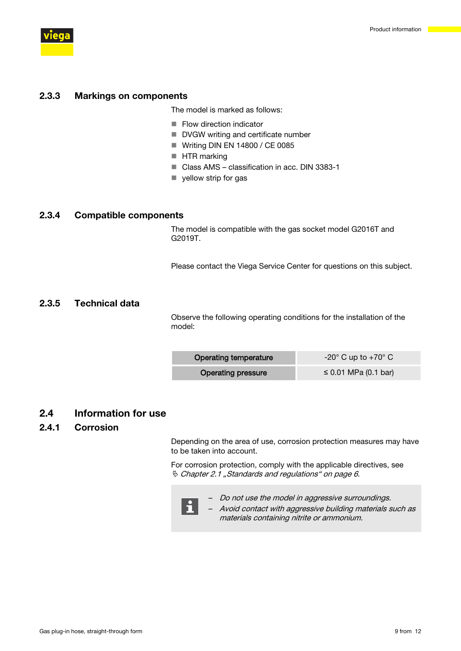

<span id="page-8-0"></span>

### 2.3.3 Markings on components

The model is marked as follows:

- $\blacksquare$  Flow direction indicator
- DVGW writing and certificate number
- $\blacksquare$  Writing DIN EN 14800 / CE 0085
- **HTR** marking
- Class AMS classification in acc. DIN 3383-1
- $\blacksquare$  yellow strip for gas

### 2.3.4 Compatible components

The model is compatible with the gas socket model G2016T and G2019T.

Please contact the Viega Service Center for questions on this subject.

# 2.3.5 Technical data

Observe the following operating conditions for the installation of the model:

| <b>Operating temperature</b> | $-20^{\circ}$ C up to $+70^{\circ}$ C |  |
|------------------------------|---------------------------------------|--|
| <b>Operating pressure</b>    | $\leq$ 0.01 MPa (0.1 bar)             |  |

# 2.4 Information for use

## 2.4.1 Corrosion

Depending on the area of use, corrosion protection measures may have to be taken into account.

For corrosion protection, comply with the applicable directives, see  $\%$  [Chapter 2.1 "Standards and regulations" on page 6](#page-5-0).

- n
- Do not use the model in aggressive surroundings.
- Avoid contact with aggressive building materials such as materials containing nitrite or ammonium.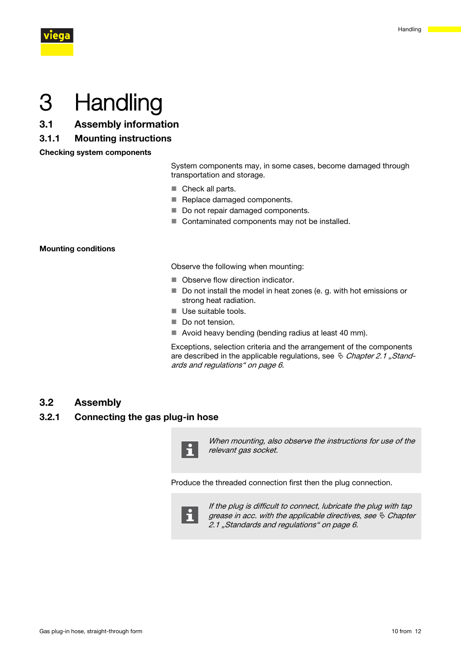<span id="page-9-0"></span>

# 3 Handling

- 3.1 Assembly information
- 3.1.1 Mounting instructions

Checking system components

System components may, in some cases, become damaged through transportation and storage.

- $\blacksquare$  Check all parts.
- Replace damaged components.
- Do not repair damaged components.
- $\blacksquare$  Contaminated components may not be installed.

#### Mounting conditions

Observe the following when mounting:

- Observe flow direction indicator.
- $\blacksquare$  Do not install the model in heat zones (e. g. with hot emissions or strong heat radiation.
- Use suitable tools.
- Do not tension.
- $\blacksquare$  Avoid heavy bending (bending radius at least 40 mm).

Exceptions, selection criteria and the arrangement of the components are described in the applicable regulations, see  $\frac{A}{C}$  [Chapter 2.1 "Stand](#page-5-0)[ards and regulations" on page 6](#page-5-0).

# 3.2 Assembly

## 3.2.1 Connecting the gas plug-in hose



When mounting, also observe the instructions for use of the relevant gas socket.

Produce the threaded connection first then the plug connection.



If the plug is difficult to connect, lubricate the plug with tap grease in acc. with the applicable directives, see  $\&$  [Chapter](#page-5-0) [2.1 "Standards and regulations" on page 6](#page-5-0).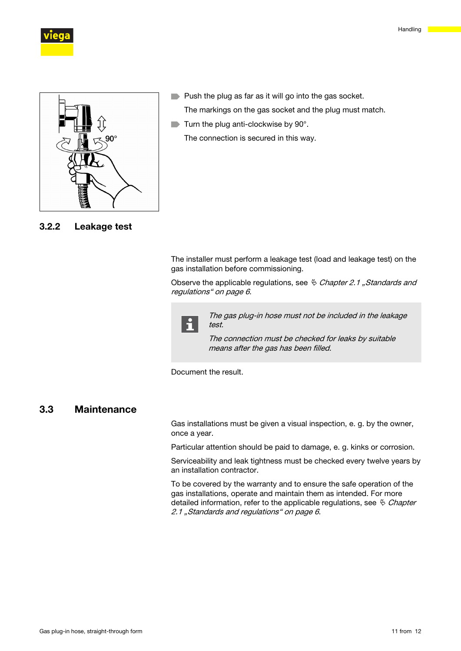

<span id="page-10-0"></span>



3.2.2 Leakage test

- **Push the plug as far as it will go into the gas socket.** The markings on the gas socket and the plug must match.
- $\blacksquare$  Turn the plug anti-clockwise by 90 $^{\circ}$ . The connection is secured in this way.

The installer must perform a leakage test (load and leakage test) on the gas installation before commissioning.

Observe the applicable regulations, see  $\frac{R}{V}$  *Chapter 2.1 "Standards and* [regulations" on page 6](#page-5-0).



The gas plug-in hose must not be included in the leakage test.

The connection must be checked for leaks by suitable means after the gas has been filled.

Document the result.

# 3.3 Maintenance

Gas installations must be given a visual inspection, e. g. by the owner, once a year.

Particular attention should be paid to damage, e. g. kinks or corrosion.

Serviceability and leak tightness must be checked every twelve years by an installation contractor.

To be covered by the warranty and to ensure the safe operation of the gas installations, operate and maintain them as intended. For more detailed information, refer to the applicable regulations, see  $\frac{R}{V}$  [Chapter](#page-5-0) [2.1 "Standards and regulations" on page 6](#page-5-0).